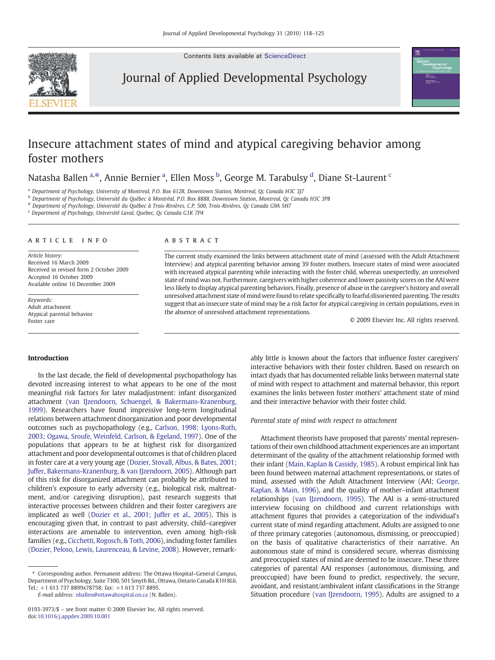Contents lists available at [ScienceDirect](http://www.sciencedirect.com/science/journal/01933973)



## Journal of Applied Developmental Psychology



# Insecure attachment states of mind and atypical caregiving behavior among foster mothers

Natasha Ballen <sup>a,\*</sup>, Annie Bernier <sup>a</sup>, Ellen Moss <sup>b</sup>, George M. Tarabulsy <sup>d</sup>, Diane St-Laurent <sup>c</sup>

<sup>a</sup> Department of Psychology, University of Montreal, P.O. Box 6128, Downtown Station, Montreal, Qc Canada H3C 3J7

<sup>b</sup> Department of Psychology, Université du Québec à Montréal, P.O. Box 8888, Downtown Station, Montreal, Qc Canada H3C 3P8

<sup>d</sup> Department of Psychology, Université du Québec à Trois-Rivières, C.P. 500, Trois-Rivières, Qc Canada G9A 5H7

<sup>c</sup> Department of Psychology, Université Laval, Quebec, Qc Canada G1K 7P4

### article info abstract

Article history: Received 16 March 2009 Received in revised form 2 October 2009 Accepted 16 October 2009 Available online 16 December 2009

Keywords: Adult attachment Atypical parental behavior Foster care

The current study examined the links between attachment state of mind (assessed with the Adult Attachment Interview) and atypical parenting behavior among 39 foster mothers. Insecure states of mind were associated with increased atypical parenting while interacting with the foster child, whereas unexpectedly, an unresolved state of mind was not. Furthermore, caregivers with higher coherence and lower passivity scores on the AAI were less likely to display atypical parenting behaviors. Finally, presence of abuse in the caregiver's history and overall unresolved attachment state of mind were found to relate specifically to fearful/disoriented parenting. The results suggest that an insecure state of mind may be a risk factor for atypical caregiving in certain populations, even in the absence of unresolved attachment representations.

© 2009 Elsevier Inc. All rights reserved.

#### Introduction

In the last decade, the field of developmental psychopathology has devoted increasing interest to what appears to be one of the most meaningful risk factors for later maladjustment: infant disorganized attachment ([van IJzendoorn, Schuengel, & Bakermans-Kranenburg,](#page--1-0) [1999\)](#page--1-0). Researchers have found impressive long-term longitudinal relations between attachment disorganization and poor developmental outcomes such as psychopathology (e.g., [Carlson, 1998; Lyons-Ruth,](#page--1-0) [2003; Ogawa, Sroufe, Weinfeld, Carlson, & Egeland, 1997\)](#page--1-0). One of the populations that appears to be at highest risk for disorganized attachment and poor developmental outcomes is that of children placed in foster care at a very young age [\(Dozier, Stovall, Albus, & Bates, 2001;](#page--1-0) [Juffer, Bakermans-Kranenburg, & van IJzendoorn, 2005\)](#page--1-0). Although part of this risk for disorganized attachment can probably be attributed to children's exposure to early adversity (e.g., biological risk, maltreatment, and/or caregiving disruption), past research suggests that interactive processes between children and their foster caregivers are implicated as well [\(Dozier et al., 2001; Juffer et al., 2005](#page--1-0)). This is encouraging given that, in contrast to past adversity, child–caregiver interactions are amenable to intervention, even among high-risk families (e.g., [Cicchetti, Rogosch, & Toth, 2006](#page--1-0)), including foster families [\(Dozier, Peloso, Lewis, Laurenceau, & Levine, 2008](#page--1-0)). However, remark-

E-mail address: [nballen@ottawahospital.on.ca](mailto:nballen@ottawahospital.on.ca) (N. Ballen).

ably little is known about the factors that influence foster caregivers' interactive behaviors with their foster children. Based on research on intact dyads that has documented reliable links between maternal state of mind with respect to attachment and maternal behavior, this report examines the links between foster mothers' attachment state of mind and their interactive behavior with their foster child.

#### Parental state of mind with respect to attachment

Attachment theorists have proposed that parents' mental representations of their own childhood attachment experiences are an important determinant of the quality of the attachment relationship formed with their infant [\(Main, Kaplan & Cassidy, 1985\)](#page--1-0). A robust empirical link has been found between maternal attachment representations, or states of mind, assessed with the Adult Attachment Interview (AAI; [George,](#page--1-0) [Kaplan, & Main, 1996](#page--1-0)), and the quality of mother–infant attachment relationships [\(van IJzendoorn, 1995](#page--1-0)). The AAI is a semi-structured interview focusing on childhood and current relationships with attachment figures that provides a categorization of the individual's current state of mind regarding attachment. Adults are assigned to one of three primary categories (autonomous, dismissing, or preoccupied) on the basis of qualitative characteristics of their narrative. An autonomous state of mind is considered secure, whereas dismissing and preoccupied states of mind are deemed to be insecure. These three categories of parental AAI responses (autonomous, dismissing, and preoccupied) have been found to predict, respectively, the secure, avoidant, and resistant/ambivalent infant classifications in the Strange Situation procedure [\(van IJzendoorn, 1995](#page--1-0)). Adults are assigned to a

<sup>⁎</sup> Corresponding author. Permanent address: The Ottawa Hospital–General Campus, Department of Psychology, Suite 7300, 501 Smyth Rd., Ottawa, Ontario Canada K1H 8L6. Tel.: +1 613 737 8899x78758; fax: +1 613 737 8895.

<sup>0193-3973/\$</sup> – see front matter © 2009 Elsevier Inc. All rights reserved. doi[:10.1016/j.appdev.2009.10.001](http://dx.doi.org/10.1016/j.appdev.2009.10.001)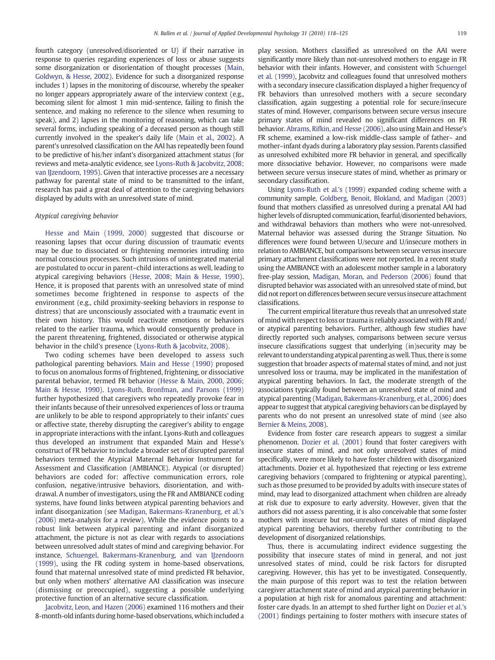fourth category (unresolved/disoriented or U) if their narrative in response to queries regarding experiences of loss or abuse suggests some disorganization or disorientation of thought processes ([Main,](#page--1-0) [Goldwyn, & Hesse, 2002](#page--1-0)). Evidence for such a disorganized response includes 1) lapses in the monitoring of discourse, whereby the speaker no longer appears appropriately aware of the interview context (e.g., becoming silent for almost 1 min mid-sentence, failing to finish the sentence, and making no reference to the silence when resuming to speak), and 2) lapses in the monitoring of reasoning, which can take several forms, including speaking of a deceased person as though still currently involved in the speaker's daily life [\(Main et al., 2002](#page--1-0)). A parent's unresolved classification on the AAI has repeatedly been found to be predictive of his/her infant's disorganized attachment status (for reviews and meta-analytic evidence, see [Lyons-Ruth & Jacobvitz, 2008;](#page--1-0) [van IJzendoorn, 1995\)](#page--1-0). Given that interactive processes are a necessary pathway for parental state of mind to be transmitted to the infant, research has paid a great deal of attention to the caregiving behaviors displayed by adults with an unresolved state of mind.

### Atypical caregiving behavior

[Hesse and Main \(1999, 2000\)](#page--1-0) suggested that discourse or reasoning lapses that occur during discussion of traumatic events may be due to dissociated or frightening memories intruding into normal conscious processes. Such intrusions of unintegrated material are postulated to occur in parent–child interactions as well, leading to atypical caregiving behaviors [\(Hesse, 2008; Main & Hesse, 1990](#page--1-0)). Hence, it is proposed that parents with an unresolved state of mind sometimes become frightened in response to aspects of the environment (e.g., child proximity-seeking behaviors in response to distress) that are unconsciously associated with a traumatic event in their own history. This would reactivate emotions or behaviors related to the earlier trauma, which would consequently produce in the parent threatening, frightened, dissociated or otherwise atypical behavior in the child's presence [\(Lyons-Ruth & Jacobvitz, 2008](#page--1-0)).

Two coding schemes have been developed to assess such pathological parenting behaviors. [Main and Hesse \(1990\)](#page--1-0) proposed to focus on anomalous forms of frightened, frightening, or dissociative parental behavior, termed FR behavior ([Hesse & Main, 2000, 2006;](#page--1-0) [Main & Hesse, 1990\)](#page--1-0). [Lyons-Ruth, Bronfman, and Parsons \(1999\)](#page--1-0) further hypothesized that caregivers who repeatedly provoke fear in their infants because of their unresolved experiences of loss or trauma are unlikely to be able to respond appropriately to their infants' cues or affective state, thereby disrupting the caregiver's ability to engage in appropriate interactions with the infant. Lyons-Ruth and colleagues thus developed an instrument that expanded Main and Hesse's construct of FR behavior to include a broader set of disrupted parental behaviors termed the Atypical Maternal Behavior Instrument for Assessment and Classification (AMBIANCE). Atypical (or disrupted) behaviors are coded for: affective communication errors, role confusion, negative/intrusive behaviors, disorientation, and withdrawal. A number of investigators, using the FR and AMBIANCE coding systems, have found links between atypical parenting behaviors and infant disorganization (see [Madigan, Bakermans-Kranenburg, et al.'s](#page--1-0) [\(2006\)](#page--1-0) meta-analysis for a review). While the evidence points to a robust link between atypical parenting and infant disorganized attachment, the picture is not as clear with regards to associations between unresolved adult states of mind and caregiving behavior. For instance, [Schuengel, Bakermans-Kranenburg, and van IJzendoorn](#page--1-0) [\(1999\),](#page--1-0) using the FR coding system in home-based observations, found that maternal unresolved state of mind predicted FR behavior, but only when mothers' alternative AAI classification was insecure (dismissing or preoccupied), suggesting a possible underlying protective function of an alternative secure classification.

[Jacobvitz, Leon, and Hazen \(2006\)](#page--1-0) examined 116 mothers and their 8-month-old infants during home-based observations, which included a play session. Mothers classified as unresolved on the AAI were significantly more likely than not-unresolved mothers to engage in FR behavior with their infants. However, and consistent with [Schuengel](#page--1-0) [et al. \(1999\)](#page--1-0), Jacobvitz and colleagues found that unresolved mothers with a secondary insecure classification displayed a higher frequency of FR behaviors than unresolved mothers with a secure secondary classification, again suggesting a potential role for secure/insecure states of mind. However, comparisons between secure versus insecure primary states of mind revealed no significant differences on FR behavior. [Abrams, Rifkin, and Hesse \(2006\)](#page--1-0), also using Main and Hesse's FR scheme, examined a low-risk middle-class sample of father– and mother–infant dyads during a laboratory play session. Parents classified as unresolved exhibited more FR behavior in general, and specifically more dissociative behavior. However, no comparisons were made between secure versus insecure states of mind, whether as primary or secondary classification.

Using [Lyons-Ruth et al.'s \(1999\)](#page--1-0) expanded coding scheme with a community sample, [Goldberg, Benoit, Blokland, and Madigan \(2003\)](#page--1-0) found that mothers classified as unresolved during a prenatal AAI had higher levels of disrupted communication, fearful/disoriented behaviors, and withdrawal behaviors than mothers who were not-unresolved. Maternal behavior was assessed during the Strange Situation. No differences were found between U/secure and U/insecure mothers in relation to AMBIANCE, but comparisons between secure versus insecure primary attachment classifications were not reported. In a recent study using the AMBIANCE with an adolescent mother sample in a laboratory free-play session, [Madigan, Moran, and Pederson \(2006\)](#page--1-0) found that disrupted behavior was associated with an unresolved state of mind, but did not report on differences between secure versusinsecure attachment classifications.

The current empirical literature thus reveals that an unresolved state of mind with respect to loss or trauma is reliably associated with FR and/ or atypical parenting behaviors. Further, although few studies have directly reported such analyses, comparisons between secure versus insecure classifications suggest that underlying (in)security may be relevant to understanding atypical parenting as well. Thus, there is some suggestion that broader aspects of maternal states of mind, and not just unresolved loss or trauma, may be implicated in the manifestation of atypical parenting behaviors. In fact, the moderate strength of the associations typically found between an unresolved state of mind and atypical parenting ([Madigan, Bakermans-Kranenburg, et al., 2006\)](#page--1-0) does appear to suggest that atypical caregiving behaviors can be displayed by parents who do not present an unresolved state of mind (see also [Bernier & Meins, 2008\)](#page--1-0).

Evidence from foster care research appears to suggest a similar phenomenon. [Dozier et al. \(2001\)](#page--1-0) found that foster caregivers with insecure states of mind, and not only unresolved states of mind specifically, were more likely to have foster children with disorganized attachments. Dozier et al. hypothesized that rejecting or less extreme caregiving behaviors (compared to frightening or atypical parenting), such as those presumed to be provided by adults with insecure states of mind, may lead to disorganized attachment when children are already at risk due to exposure to early adversity. However, given that the authors did not assess parenting, it is also conceivable that some foster mothers with insecure but not-unresolved states of mind displayed atypical parenting behaviors, thereby further contributing to the development of disorganized relationships.

Thus, there is accumulating indirect evidence suggesting the possibility that insecure states of mind in general, and not just unresolved states of mind, could be risk factors for disrupted caregiving. However, this has yet to be investigated. Consequently, the main purpose of this report was to test the relation between caregiver attachment state of mind and atypical parenting behavior in a population at high risk for anomalous parenting and attachment: foster care dyads. In an attempt to shed further light on [Dozier et al.'s](#page--1-0) [\(2001\)](#page--1-0) findings pertaining to foster mothers with insecure states of